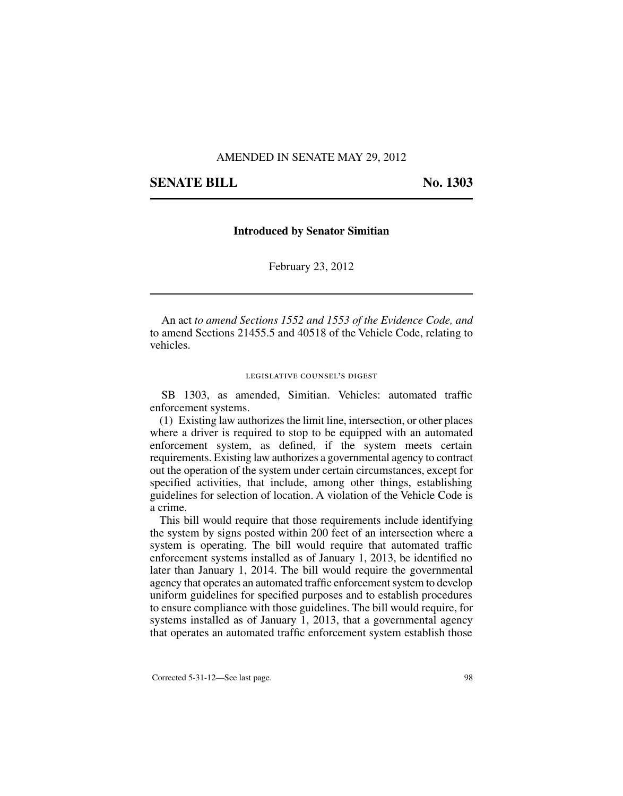#### AMENDED IN SENATE MAY 29, 2012

## **SENATE BILL** No. 1303

# 1 **Introduced by Senator Simitian**

### February 23, 2012

An act to amend Sections 1552 and 1553 of the Evidence Code, and 2 to amend Sections 21455.5 and 40518 of the Vehicle Code, relating to vehicles.

#### legislative counsel's digest

SB 1303, as amended, Simitian. Vehicles: automated traffic enforcement systems.

(1) Existing law authorizes the limit line, intersection, or other places where a driver is required to stop to be equipped with an automated enforcement system, as defined, if the system meets certain requirements. Existing law authorizes a governmental agency to contract out the operation of the system under certain circumstances, except for specified activities, that include, among other things, establishing guidelines for selection of location. A violation of the Vehicle Code is a crime.

This bill would require that those requirements include identifying the system by signs posted within 200 feet of an intersection where a system is operating. The bill would require that automated traffic enforcement systems installed as of January 1, 2013, be identified no later than January 1, 2014. The bill would require the governmental agency that operates an automated traffic enforcement system to develop uniform guidelines for specified purposes and to establish procedures to ensure compliance with those guidelines. The bill would require, for systems installed as of January 1, 2013, that a governmental agency that operates an automated traffic enforcement system establish those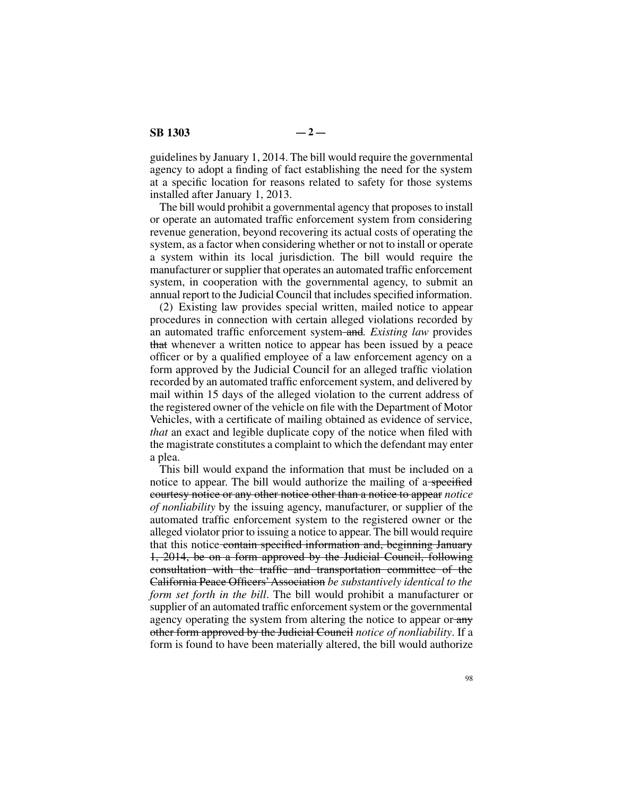guidelines by January 1, 2014. The bill would require the governmental agency to adopt a finding of fact establishing the need for the system at a specific location for reasons related to safety for those systems installed after January 1, 2013.

The bill would prohibit a governmental agency that proposes to install or operate an automated traffic enforcement system from considering revenue generation, beyond recovering its actual costs of operating the system, as a factor when considering whether or not to install or operate a system within its local jurisdiction. The bill would require the manufacturer or supplier that operates an automated traffic enforcement system, in cooperation with the governmental agency, to submit an annual report to the Judicial Council that includes specified information.

(2) Existing law provides special written, mailed notice to appear procedures in connection with certain alleged violations recorded by an automated traffic enforcement system and*. Existing law* provides that whenever a written notice to appear has been issued by a peace officer or by a qualified employee of a law enforcement agency on a form approved by the Judicial Council for an alleged traffic violation recorded by an automated traffic enforcement system, and delivered by mail within 15 days of the alleged violation to the current address of the registered owner of the vehicle on file with the Department of Motor Vehicles, with a certificate of mailing obtained as evidence of service, *that* an exact and legible duplicate copy of the notice when filed with the magistrate constitutes a complaint to which the defendant may enter a plea.

This bill would expand the information that must be included on a notice to appear. The bill would authorize the mailing of a-specified courtesy notice or any other notice other than a notice to appear *notice of nonliability* by the issuing agency, manufacturer, or supplier of the automated traffic enforcement system to the registered owner or the alleged violator prior to issuing a notice to appear. The bill would require that this notice contain specified information and, beginning January 1, 2014, be on a form approved by the Judicial Council, following consultation with the traffic and transportation committee of the California Peace Officers'Association *be substantively identical to the form set forth in the bill*. The bill would prohibit a manufacturer or supplier of an automated traffic enforcement system or the governmental agency operating the system from altering the notice to appear or any other form approved by the Judicial Council *notice of nonliability*. If a form is found to have been materially altered, the bill would authorize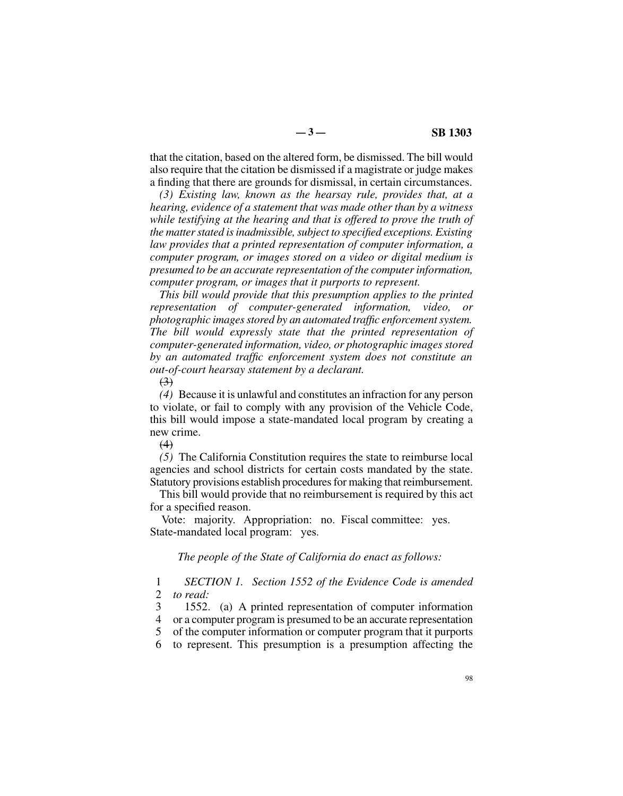that the citation, based on the altered form, be dismissed. The bill would also require that the citation be dismissed if a magistrate or judge makes a finding that there are grounds for dismissal, in certain circumstances.

*(3) Existing law, known as the hearsay rule, provides that, at a hearing, evidence of a statement that was made other than by a witness while testifying at the hearing and that is offered to prove the truth of the matter stated is inadmissible, subject to specified exceptions. Existing law provides that a printed representation of computer information, a computer program, or images stored on a video or digital medium is presumed to be an accurate representation of the computer information, computer program, or images that it purports to represent.*

*This bill would provide that this presumption applies to the printed representation of computer-generated information, video, or photographic images stored by an automated traffic enforcement system. The bill would expressly state that the printed representation of computer-generated information, video, or photographic images stored by an automated traffic enforcement system does not constitute an out-of-court hearsay statement by a declarant.*

 $(3)$ 

*(4)* Because it is unlawful and constitutes an infraction for any person to violate, or fail to comply with any provision of the Vehicle Code, this bill would impose a state-mandated local program by creating a new crime.

 $(4)$ 

*(5)* The California Constitution requires the state to reimburse local agencies and school districts for certain costs mandated by the state. Statutory provisions establish procedures for making that reimbursement.

This bill would provide that no reimbursement is required by this act for a specified reason.

Vote: majority. Appropriation: no. Fiscal committee: yes. State-mandated local program: yes.

*The people of the State of California do enact as follows:*

1 2 *to read: SECTION 1. Section 1552 of the Evidence Code is amended*

3 1552. (a) A printed representation of computer information

4 or a computer program is presumed to be an accurate representation

5 of the computer information or computer program that it purports

6 to represent. This presumption is a presumption affecting the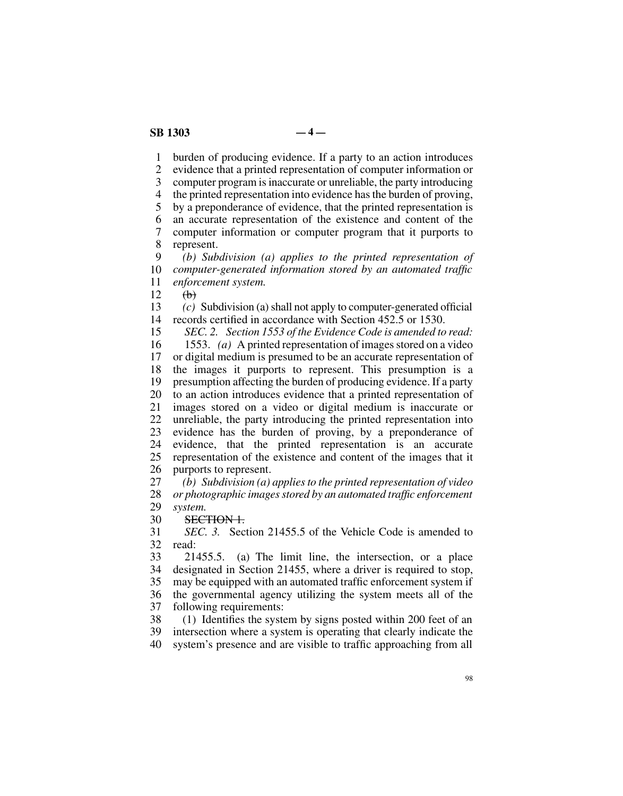1 2 burden of producing evidence. If a party to an action introduces evidence that a printed representation of computer information or

3 computer program is inaccurate or unreliable, the party introducing

4 the printed representation into evidence has the burden of proving,

5 by a preponderance of evidence, that the printed representation is

6 7 an accurate representation of the existence and content of the computer information or computer program that it purports to

8 represent.

9 10 11 *(b) Subdivision (a) applies to the printed representation of computer-generated information stored by an automated traffic enforcement system.*

12  $\bigoplus$ 

13 14 *(c)* Subdivision (a) shall not apply to computer-generated official records certified in accordance with Section 452.5 or 1530.

15 16 17 18 19 20 21 22 23 24 25 26 *SEC. 2. Section 1553 of the Evidence Code is amended to read:* 1553. *(a)* A printed representation of images stored on a video or digital medium is presumed to be an accurate representation of the images it purports to represent. This presumption is a presumption affecting the burden of producing evidence. If a party to an action introduces evidence that a printed representation of images stored on a video or digital medium is inaccurate or unreliable, the party introducing the printed representation into evidence has the burden of proving, by a preponderance of evidence, that the printed representation is an accurate representation of the existence and content of the images that it purports to represent.

27 28 29 *(b) Subdivision (a) applies to the printed representation of video or photographic images stored by an automated traffic enforcement system.*

30 SECTION 1.

31 32 read: *SEC. 3.* Section 21455.5 of the Vehicle Code is amended to

33 34 35 36 37 21455.5. (a) The limit line, the intersection, or a place designated in Section 21455, where a driver is required to stop, may be equipped with an automated traffic enforcement system if the governmental agency utilizing the system meets all of the following requirements:

38 39 40 (1) Identifies the system by signs posted within 200 feet of an intersection where a system is operating that clearly indicate the system's presence and are visible to traffic approaching from all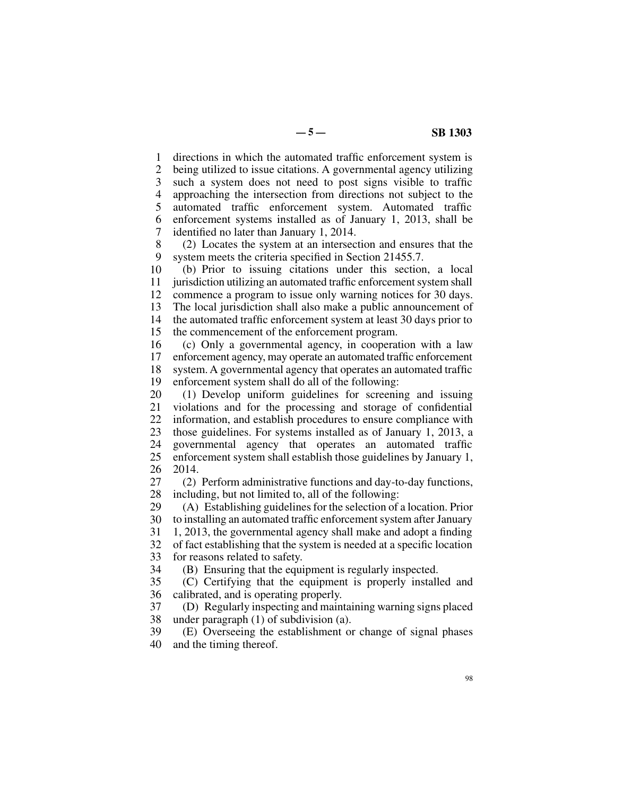1 2 3 4 5 6 7 8 9 10 11 12 13 14 15 16 17 18 19 20 21 22 23 24 25 26 27 28 29 30 directions in which the automated traffic enforcement system is being utilized to issue citations. A governmental agency utilizing such a system does not need to post signs visible to traffic approaching the intersection from directions not subject to the automated traffic enforcement system. Automated traffic enforcement systems installed as of January 1, 2013, shall be identified no later than January 1, 2014. (2) Locates the system at an intersection and ensures that the system meets the criteria specified in Section 21455.7. (b) Prior to issuing citations under this section, a local jurisdiction utilizing an automated traffic enforcement system shall commence a program to issue only warning notices for 30 days. The local jurisdiction shall also make a public announcement of the automated traffic enforcement system at least 30 days prior to the commencement of the enforcement program. (c) Only a governmental agency, in cooperation with a law enforcement agency, may operate an automated traffic enforcement system. A governmental agency that operates an automated traffic enforcement system shall do all of the following: (1) Develop uniform guidelines for screening and issuing violations and for the processing and storage of confidential information, and establish procedures to ensure compliance with those guidelines. For systems installed as of January 1, 2013, a governmental agency that operates an automated traffic enforcement system shall establish those guidelines by January 1, 2014. (2) Perform administrative functions and day-to-day functions, including, but not limited to, all of the following: (A) Establishing guidelines for the selection of a location. Prior to installing an automated traffic enforcement system after January

31 1, 2013, the governmental agency shall make and adopt a finding

32 33 of fact establishing that the system is needed at a specific location for reasons related to safety.

34 (B) Ensuring that the equipment is regularly inspected.

35 36 (C) Certifying that the equipment is properly installed and calibrated, and is operating properly.

37 38 (D) Regularly inspecting and maintaining warning signs placed under paragraph (1) of subdivision (a).

39 40 (E) Overseeing the establishment or change of signal phases and the timing thereof.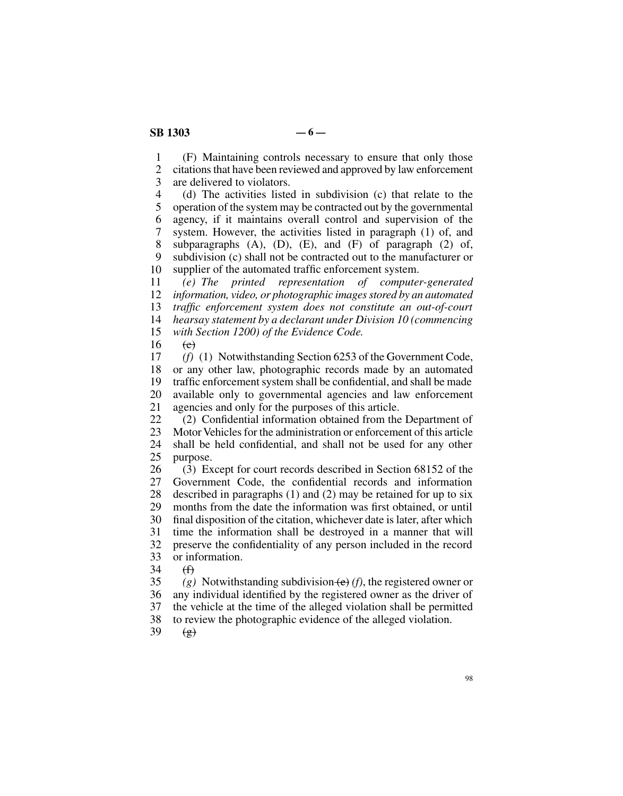1 (F) Maintaining controls necessary to ensure that only those

2 citations that have been reviewed and approved by law enforcement

3 are delivered to violators.

4 5 6 7 8 9 10 (d) The activities listed in subdivision (c) that relate to the operation of the system may be contracted out by the governmental agency, if it maintains overall control and supervision of the system. However, the activities listed in paragraph (1) of, and subparagraphs  $(A)$ ,  $(D)$ ,  $(E)$ , and  $(F)$  of paragraph  $(2)$  of, subdivision (c) shall not be contracted out to the manufacturer or supplier of the automated traffic enforcement system.

11 12 13 *(e) The printed representation of computer-generated information, video, or photographic images stored by an automated traffic enforcement system does not constitute an out-of-court*

14 *hearsay statement by a declarant under Division 10 (commencing*

15 *with Section 1200) of the Evidence Code.*

16  $\Theta$ 

17 18 19 20 21 *(f)* (1) Notwithstanding Section 6253 of the Government Code, or any other law, photographic records made by an automated traffic enforcement system shall be confidential, and shall be made available only to governmental agencies and law enforcement agencies and only for the purposes of this article.

22 23 24 25 (2) Confidential information obtained from the Department of Motor Vehicles for the administration or enforcement of this article shall be held confidential, and shall not be used for any other purpose.

26 27 28 29 30 31 32 33 34 (3) Except for court records described in Section 68152 of the Government Code, the confidential records and information described in paragraphs (1) and (2) may be retained for up to six months from the date the information was first obtained, or until final disposition of the citation, whichever date is later, after which time the information shall be destroyed in a manner that will preserve the confidentiality of any person included in the record or information.  $f(x)$ 

35 36 37 38  $(g)$  Notwithstanding subdivision  $(e)$  (*f*), the registered owner or any individual identified by the registered owner as the driver of the vehicle at the time of the alleged violation shall be permitted to review the photographic evidence of the alleged violation.

39  $\left(\frac{\mathbf{g}}{\mathbf{g}}\right)$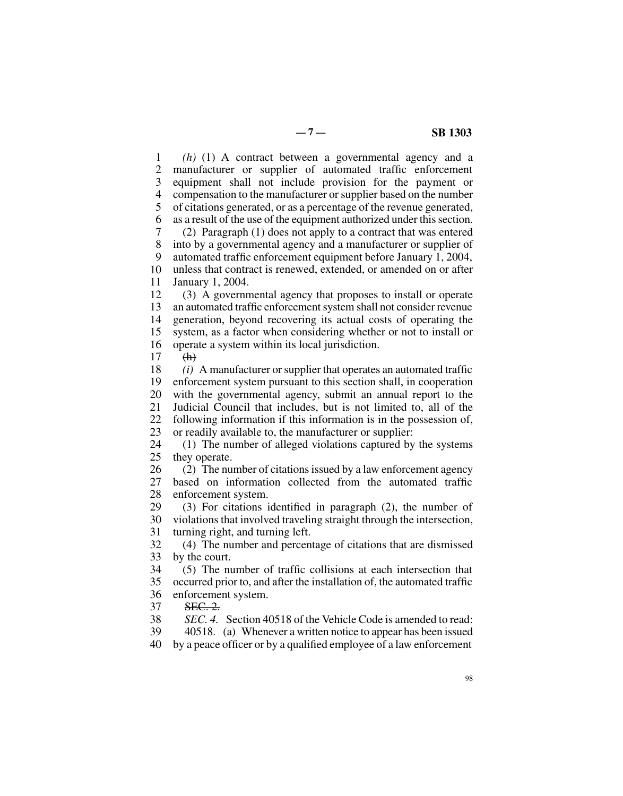1 2 3 4 5 6 7 8 9 10 11 12 13 14 15 16 17 18 19 20 21 22 23 24 25 26 27 28 29 30 31 32 33 34 35 36 37 38 39 40 *(h)* (1) A contract between a governmental agency and a manufacturer or supplier of automated traffic enforcement equipment shall not include provision for the payment or compensation to the manufacturer or supplier based on the number of citations generated, or as a percentage of the revenue generated, as a result of the use of the equipment authorized under this section. (2) Paragraph (1) does not apply to a contract that was entered into by a governmental agency and a manufacturer or supplier of automated traffic enforcement equipment before January 1, 2004, unless that contract is renewed, extended, or amended on or after January 1, 2004. (3) A governmental agency that proposes to install or operate an automated traffic enforcement system shall not consider revenue generation, beyond recovering its actual costs of operating the system, as a factor when considering whether or not to install or operate a system within its local jurisdiction.  $f$ *(i)* A manufacturer or supplier that operates an automated traffic enforcement system pursuant to this section shall, in cooperation with the governmental agency, submit an annual report to the Judicial Council that includes, but is not limited to, all of the following information if this information is in the possession of, or readily available to, the manufacturer or supplier: (1) The number of alleged violations captured by the systems they operate. (2) The number of citations issued by a law enforcement agency based on information collected from the automated traffic enforcement system. (3) For citations identified in paragraph (2), the number of violations that involved traveling straight through the intersection, turning right, and turning left. (4) The number and percentage of citations that are dismissed by the court. (5) The number of traffic collisions at each intersection that occurred prior to, and after the installation of, the automated traffic enforcement system. SEC. 2. *SEC. 4.* Section 40518 of the Vehicle Code is amended to read: 40518. (a) Whenever a written notice to appear has been issued by a peace officer or by a qualified employee of a law enforcement 98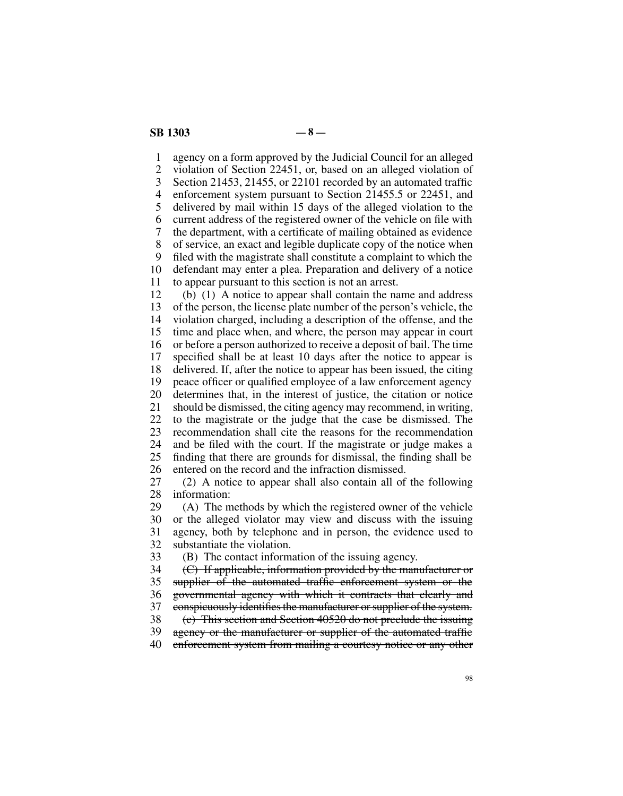1 2 3 4 5 6 7 8 9 10 11 12 13 14 15 16 17 18 19 20 21 22 23 24 25 26 27 28 29 30 31 32 33 34 35 36 37 agency on a form approved by the Judicial Council for an alleged violation of Section 22451, or, based on an alleged violation of Section 21453, 21455, or 22101 recorded by an automated traffic enforcement system pursuant to Section 21455.5 or 22451, and delivered by mail within 15 days of the alleged violation to the current address of the registered owner of the vehicle on file with the department, with a certificate of mailing obtained as evidence of service, an exact and legible duplicate copy of the notice when filed with the magistrate shall constitute a complaint to which the defendant may enter a plea. Preparation and delivery of a notice to appear pursuant to this section is not an arrest. (b) (1) A notice to appear shall contain the name and address of the person, the license plate number of the person's vehicle, the violation charged, including a description of the offense, and the time and place when, and where, the person may appear in court or before a person authorized to receive a deposit of bail. The time specified shall be at least 10 days after the notice to appear is delivered. If, after the notice to appear has been issued, the citing peace officer or qualified employee of a law enforcement agency determines that, in the interest of justice, the citation or notice should be dismissed, the citing agency may recommend, in writing, to the magistrate or the judge that the case be dismissed. The recommendation shall cite the reasons for the recommendation and be filed with the court. If the magistrate or judge makes a finding that there are grounds for dismissal, the finding shall be entered on the record and the infraction dismissed. (2) A notice to appear shall also contain all of the following information: (A) The methods by which the registered owner of the vehicle or the alleged violator may view and discuss with the issuing agency, both by telephone and in person, the evidence used to substantiate the violation. (B) The contact information of the issuing agency. (C) If applicable, information provided by the manufacturer or supplier of the automated traffic enforcement system or the governmental agency with which it contracts that clearly and conspicuously identifies the manufacturer or supplier of the system.

38 39 (c) This section and Section 40520 do not preclude the issuing agency or the manufacturer or supplier of the automated traffic

40 enforcement system from mailing a courtesy notice or any other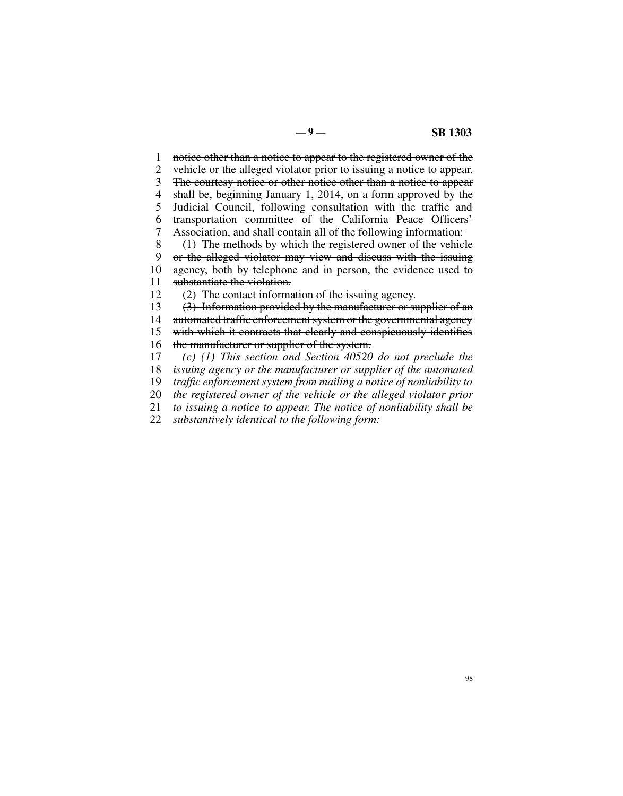1 2 3 4 5 6 7 8 9 10 11 12 13 14 15 16 17 18 19 20 21 notice other than a notice to appear to the registered owner of the vehicle or the alleged violator prior to issuing a notice to appear. The courtesy notice or other notice other than a notice to appear shall be, beginning January 1, 2014, on a form approved by the Judicial Council, following consultation with the traffic and transportation committee of the California Peace Officers' Association, and shall contain all of the following information: (1) The methods by which the registered owner of the vehicle or the alleged violator may view and discuss with the issuing agency, both by telephone and in person, the evidence used to substantiate the violation. (2) The contact information of the issuing agency. (3) Information provided by the manufacturer or supplier of an automated traffic enforcement system or the governmental agency with which it contracts that clearly and conspicuously identifies the manufacturer or supplier of the system. *(c) (1) This section and Section 40520 do not preclude the issuing agency or the manufacturer or supplier of the automated traffic enforcement system from mailing a notice of nonliability to the registered owner of the vehicle or the alleged violator prior to issuing a notice to appear. The notice of nonliability shall be*

22 *substantively identical to the following form:*